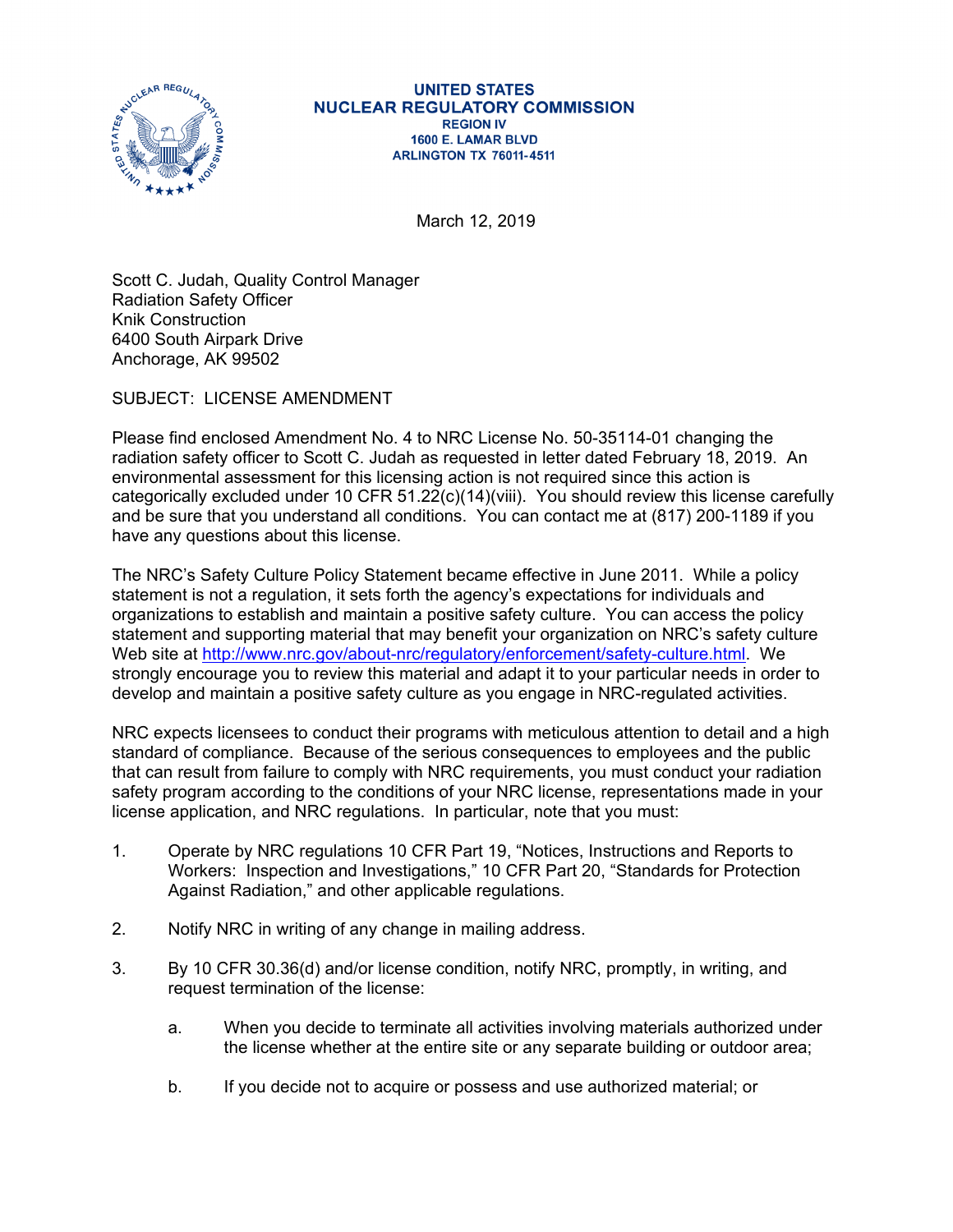

## **UNITED STATES NUCLEAR REGULATORY COMMISSION REGION IV** 1600 E. LAMAR BLVD **ARLINGTON TX 76011-4511**

March 12, 2019

Scott C. Judah, Quality Control Manager Radiation Safety Officer Knik Construction 6400 South Airpark Drive Anchorage, AK 99502

SUBJECT: LICENSE AMENDMENT

Please find enclosed Amendment No. 4 to NRC License No. 50-35114-01 changing the radiation safety officer to Scott C. Judah as requested in letter dated February 18, 2019. An environmental assessment for this licensing action is not required since this action is categorically excluded under 10 CFR 51.22(c)(14)(viii). You should review this license carefully and be sure that you understand all conditions. You can contact me at (817) 200-1189 if you have any questions about this license.

The NRC's Safety Culture Policy Statement became effective in June 2011. While a policy statement is not a regulation, it sets forth the agency's expectations for individuals and organizations to establish and maintain a positive safety culture. You can access the policy statement and supporting material that may benefit your organization on NRC's safety culture Web site at http://www.nrc.gov/about-nrc/regulatory/enforcement/safety-culture.html. We strongly encourage you to review this material and adapt it to your particular needs in order to develop and maintain a positive safety culture as you engage in NRC-regulated activities.

NRC expects licensees to conduct their programs with meticulous attention to detail and a high standard of compliance. Because of the serious consequences to employees and the public that can result from failure to comply with NRC requirements, you must conduct your radiation safety program according to the conditions of your NRC license, representations made in your license application, and NRC regulations. In particular, note that you must:

- 1. Operate by NRC regulations 10 CFR Part 19, "Notices, Instructions and Reports to Workers: Inspection and Investigations," 10 CFR Part 20, "Standards for Protection Against Radiation," and other applicable regulations.
- 2. Notify NRC in writing of any change in mailing address.
- 3. By 10 CFR 30.36(d) and/or license condition, notify NRC, promptly, in writing, and request termination of the license:
	- a. When you decide to terminate all activities involving materials authorized under the license whether at the entire site or any separate building or outdoor area;
	- b. If you decide not to acquire or possess and use authorized material; or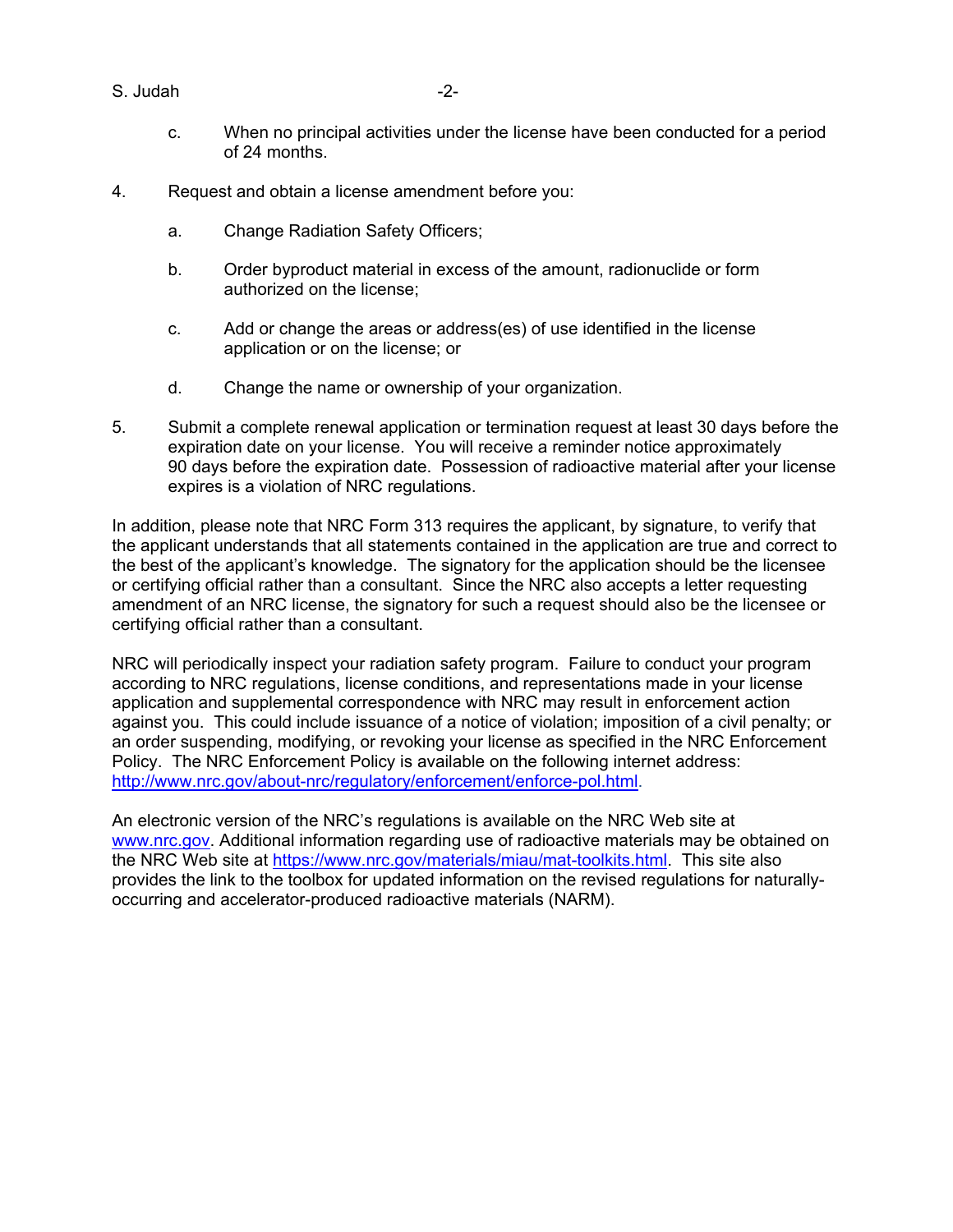S. Judah -2-

- c. When no principal activities under the license have been conducted for a period of 24 months.
- 4. Request and obtain a license amendment before you:
	- a. Change Radiation Safety Officers;
	- b. Order byproduct material in excess of the amount, radionuclide or form authorized on the license;
	- c. Add or change the areas or address(es) of use identified in the license application or on the license; or
	- d. Change the name or ownership of your organization.
- 5. Submit a complete renewal application or termination request at least 30 days before the expiration date on your license. You will receive a reminder notice approximately 90 days before the expiration date. Possession of radioactive material after your license expires is a violation of NRC regulations.

In addition, please note that NRC Form 313 requires the applicant, by signature, to verify that the applicant understands that all statements contained in the application are true and correct to the best of the applicant's knowledge. The signatory for the application should be the licensee or certifying official rather than a consultant. Since the NRC also accepts a letter requesting amendment of an NRC license, the signatory for such a request should also be the licensee or certifying official rather than a consultant.

NRC will periodically inspect your radiation safety program. Failure to conduct your program according to NRC regulations, license conditions, and representations made in your license application and supplemental correspondence with NRC may result in enforcement action against you. This could include issuance of a notice of violation; imposition of a civil penalty; or an order suspending, modifying, or revoking your license as specified in the NRC Enforcement Policy. The NRC Enforcement Policy is available on the following internet address: http://www.nrc.gov/about-nrc/regulatory/enforcement/enforce-pol.html.

An electronic version of the NRC's regulations is available on the NRC Web site at www.nrc.gov. Additional information regarding use of radioactive materials may be obtained on the NRC Web site at https://www.nrc.gov/materials/miau/mat-toolkits.html. This site also provides the link to the toolbox for updated information on the revised regulations for naturallyoccurring and accelerator-produced radioactive materials (NARM).